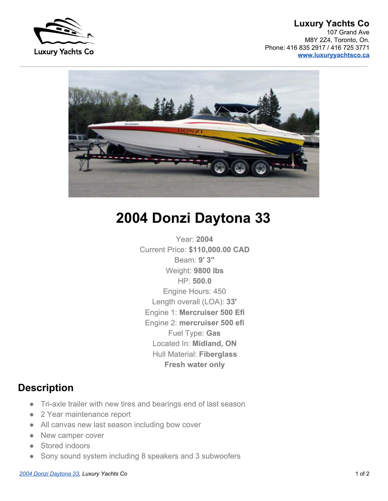

## **Luxury Yachts Co** 107 Grand Ave M8Y 2Z4, Toronto, On. Phone: 416 835 2917 / 416 725 3771 **www.luxuryyachtsco.ca**



## **2004 Donzi Daytona 33**

 Year: **2004** Current Price: **\$110,000.00 CAD** Beam: **9' 3"** Weight: **9800 lbs** HP: **500.0** Engine Hours: 450 Length overall (LOA): **33'** Engine 1: **Mercruiser 500 Efi** Engine 2: **mercruiser 500 efi** Fuel Type: **Gas** Located In: **Midland, ON** Hull Material: **Fiberglass Fresh water only**

## **Description**

- Tri-axle trailer with new tires and bearings end of last season
- 2 Year maintenance report
- All canvas new last season including bow cover
- New camper cover
- Stored indoors
- Sony sound system including 8 speakers and 3 subwoofers